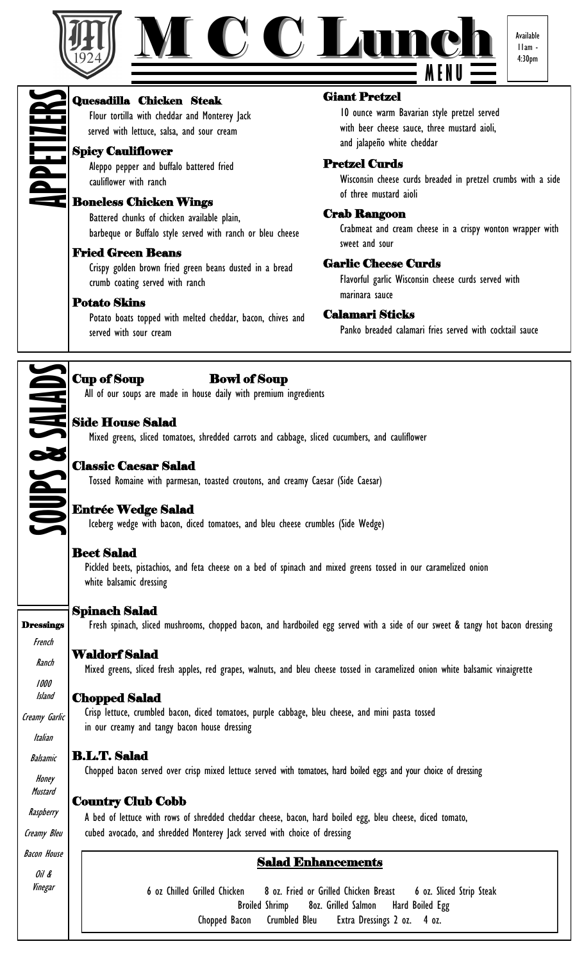



11am - 4:30pm

# Quesadilla Chicken Steak Flour tortilla with cheddar and Monterey Jack **APPETIZERS**

served with lettuce, salsa, and sour cream

# Spicy Cauliflower

Aleppo pepper and buffalo battered fried cauliflower with ranch

# Boneless Chicken Wings

Battered chunks of chicken available plain, barbeque or Buffalo style served with ranch or bleu cheese

# Fried Green Beans

Crispy golden brown fried green beans dusted in a bread crumb coating served with ranch

# Potato Skins

Potato boats topped with melted cheddar, bacon, chives and served with sour cream

# Giant Pretzel

10 ounce warm Bavarian style pretzel served with beer cheese sauce, three mustard aioli, and jalapeño white cheddar

# Pretzel Curds

Wisconsin cheese curds breaded in pretzel crumbs with a side of three mustard aioli

#### Crab Rangoon

Crabmeat and cream cheese in a crispy wonton wrapper with sweet and sour

# Garlic Cheese Curds

Flavorful garlic Wisconsin cheese curds served with marinara sauce

# Calamari Sticks

Panko breaded calamari fries served with cocktail sauce



# Cup of Soup Bowl of Soup

All of our soups are made in house daily with premium ingredients

#### Side House Salad

Mixed greens, sliced tomatoes, shredded carrots and cabbage, sliced cucumbers, and cauliflower

# Classic Caesar Salad

Tossed Romaine with parmesan, toasted croutons, and creamy Caesar (Side Caesar)

# Entrée Wedge Salad

Iceberg wedge with bacon, diced tomatoes, and bleu cheese crumbles (Side Wedge)

# Beet Salad

 Pickled beets, pistachios, and feta cheese on a bed of spinach and mixed greens tossed in our caramelized onion white balsamic dressing

# Spinach Salad

Fresh spinach, sliced mushrooms, chopped bacon, and hardboiled egg served with a side of our sweet & tangy hot bacon dressing

# Waldorf Salad

Mixed greens, sliced fresh apples, red grapes, walnuts, and bleu cheese tossed in caramelized onion white balsamic vinaigrette

#### Chopped Salad

Crisp lettuce, crumbled bacon, diced tomatoes, purple cabbage, bleu cheese, and mini pasta tossed in our creamy and tangy bacon house dressing

# B.L.T. Salad

Chopped bacon served over crisp mixed lettuce served with tomatoes, hard boiled eggs and your choice of dressing

# Country Club Cobb

 A bed of lettuce with rows of shredded cheddar cheese, bacon, hard boiled egg, bleu cheese, diced tomato, cubed avocado, and shredded Monterey Jack served with choice of dressing

# Salad Enhancements

6 oz Chilled Grilled Chicken 8 oz. Fried or Grilled Chicken Breast 6 oz. Sliced Strip Steak Broiled Shrimp 8oz. Grilled Salmon Hard Boiled Egg Chopped Bacon Crumbled Bleu Extra Dressings 2 oz. 4 oz.

# **Dressings** French

Ranch

1000 Island

Creamy Garlic

Italian

Balsamic

Honey Mustard

Raspberry

Creamy Bleu

Bacon House

Oil & Vinegar